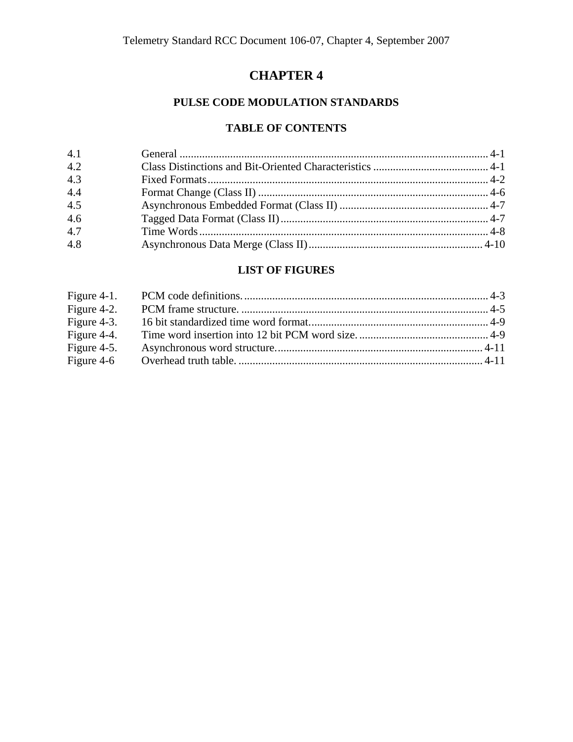# **CHAPTER 4**

# **PULSE CODE MODULATION STANDARDS**

## **TABLE OF CONTENTS**

| 4.1 |  |
|-----|--|
| 4.2 |  |
| 4.3 |  |
| 4.4 |  |
| 4.5 |  |
| 4.6 |  |
| 4.7 |  |
| 4.8 |  |

# **LIST OF FIGURES**

| Figure 4-2. |  |
|-------------|--|
| Figure 4-3. |  |
| Figure 4-4. |  |
| Figure 4-5. |  |
| Figure 4-6  |  |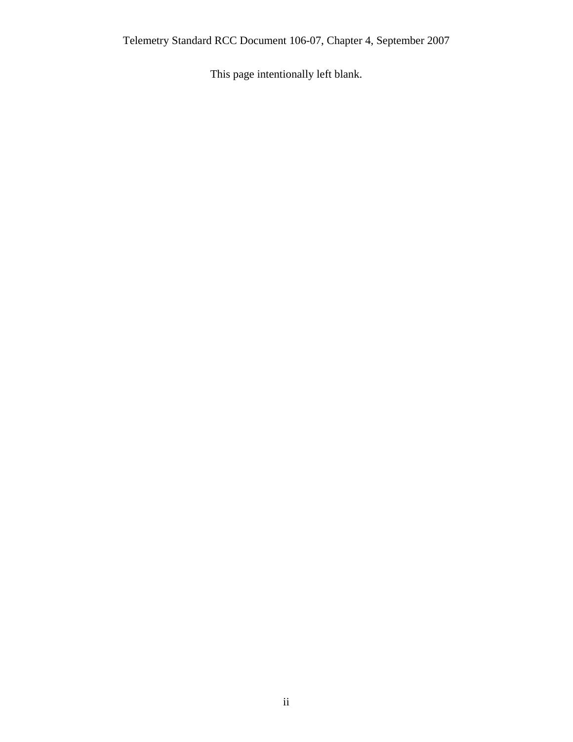This page intentionally left blank.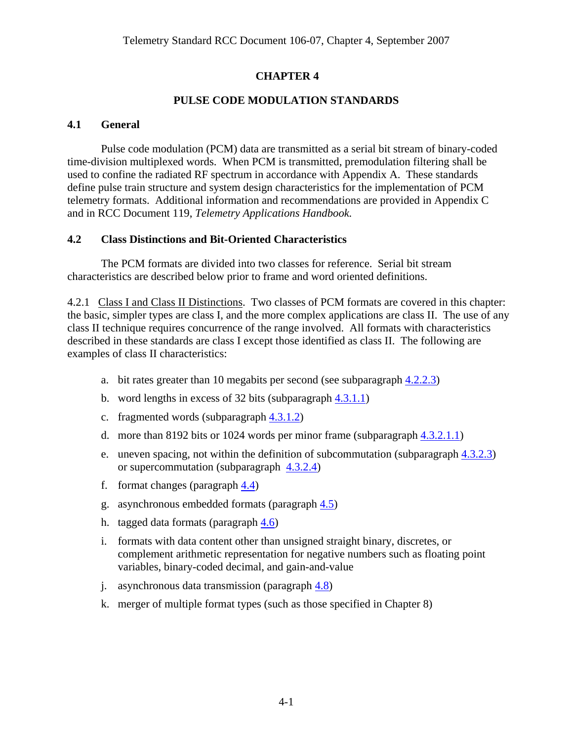### **CHAPTER 4**

### **PULSE CODE MODULATION STANDARDS**

#### <span id="page-2-0"></span>**4.1 General**

 Pulse code modulation (PCM) data are transmitted as a serial bit stream of binary-coded time-division multiplexed words. When PCM is transmitted, premodulation filtering shall be used to confine the radiated RF spectrum in accordance with Appendix A. These standards define pulse train structure and system design characteristics for the implementation of PCM telemetry formats. Additional information and recommendations are provided in Appendix C and in RCC Document 119, *Telemetry Applications Handbook.* 

### **4.2 Class Distinctions and Bit-Oriented Characteristics**

 The PCM formats are divided into two classes for reference. Serial bit stream characteristics are described below prior to frame and word oriented definitions.

4.2.1 Class I and Class II Distinctions. Two classes of PCM formats are covered in this chapter: the basic, simpler types are class I, and the more complex applications are class II. The use of any class II technique requires concurrence of the range involved. All formats with characteristics described in these standards are class I except those identified as class II. The following are examples of class II characteristics:

- a. bit rates greater than 10 megabits per second (see subparagraph  $4.2.2.3$ )
- b. word lengths in excess of 32 bits (subparagraph [4.3.1.1\)](#page-3-0)
- c. fragmented words (subparagraph  $4.3.1.2$ )
- d. more than 8192 bits or 1024 words per minor frame (subparagraph [4.3.2.1.1\)](#page-5-0)
- e. uneven spacing, not within the definition of subcommutation (subparagraph [4.3.2.3](#page-7-0)) or supercommutation (subparagraph  $4.3.2.4$ )
- f. format changes (paragraph [4.4\)](#page-7-0)
- g. asynchronous embedded formats (paragraph  $4.5$ )
- h. tagged data formats (paragraph [4.6\)](#page-8-0)
- i. formats with data content other than unsigned straight binary, discretes, or complement arithmetic representation for negative numbers such as floating point variables, binary-coded decimal, and gain-and-value
- j. asynchronous data transmission (paragraph [4.8\)](#page-11-0)
- k. merger of multiple format types (such as those specified in Chapter 8)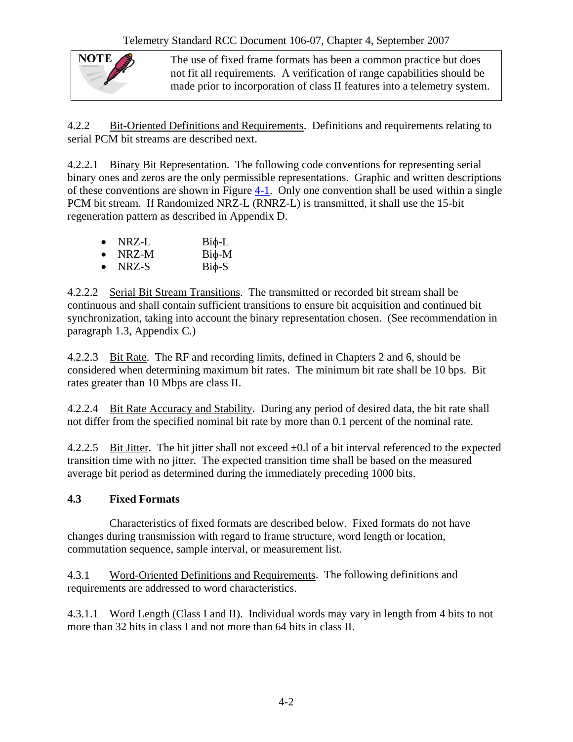<span id="page-3-0"></span>

The use of fixed frame formats has been a common practice but does not fit all requirements. A verification of range capabilities should be made prior to incorporation of class II features into a telemetry system.

4.2.2 Bit-Oriented Definitions and Requirements. Definitions and requirements relating to serial PCM bit streams are described next.

4.2.2.1 Binary Bit Representation. The following code conventions for representing serial binary ones and zeros are the only permissible representations. Graphic and written descriptions of these conventions are shown in Figure [4-1](#page-4-0). Only one convention shall be used within a single PCM bit stream. If Randomized NRZ-L (RNRZ-L) is transmitted, it shall use the 15-bit regeneration pattern as described in Appendix D.

| $\bullet$ | NRZ-L | $Bi\phi$ -L |
|-----------|-------|-------------|
| $\bullet$ | NRZ-M | $Bi\phi$ -M |
| $\bullet$ | NRZ-S | $Bi\phi-S$  |

4.2.2.2 Serial Bit Stream Transitions. The transmitted or recorded bit stream shall be continuous and shall contain sufficient transitions to ensure bit acquisition and continued bit synchronization, taking into account the binary representation chosen. (See recommendation in paragraph 1.3, Appendix C.)

4.2.2.3 Bit Rate. The RF and recording limits, defined in Chapters 2 and 6, should be considered when determining maximum bit rates. The minimum bit rate shall be 10 bps. Bit rates greater than 10 Mbps are class II.

4.2.2.4 Bit Rate Accuracy and Stability. During any period of desired data, the bit rate shall not differ from the specified nominal bit rate by more than 0.1 percent of the nominal rate.

4.2.2.5 Bit Jitter. The bit jitter shall not exceed  $\pm 0.1$  of a bit interval referenced to the expected transition time with no jitter. The expected transition time shall be based on the measured average bit period as determined during the immediately preceding 1000 bits.

## **4.3 Fixed Formats**

 Characteristics of fixed formats are described below. Fixed formats do not have changes during transmission with regard to frame structure, word length or location, commutation sequence, sample interval, or measurement list.

4.3.1 Word-Oriented Definitions and Requirements. The following definitions and requirements are addressed to word characteristics.

4.3.1.1 Word Length (Class I and II). Individual words may vary in length from 4 bits to not more than 32 bits in class I and not more than 64 bits in class II.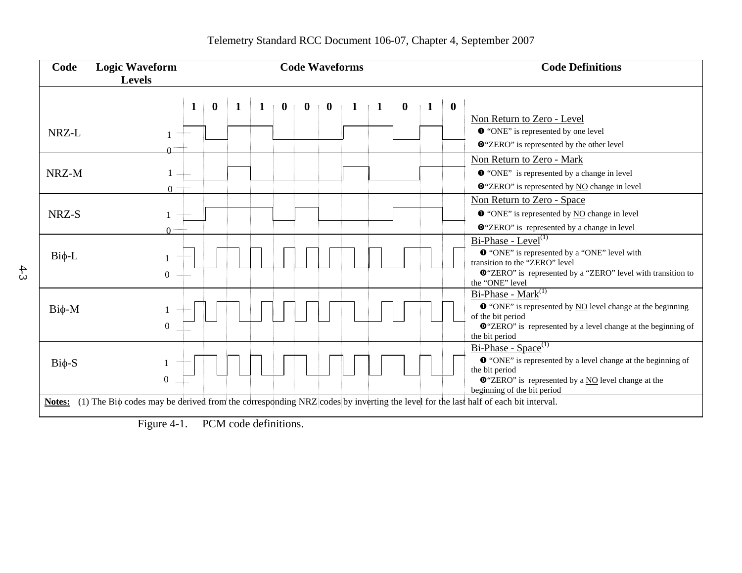| Code                                                                                                                                       | <b>Logic Waveform</b><br><b>Levels</b> | <b>Code Waveforms</b> |              |  |  |              |          |          |   |          | <b>Code Definitions</b> |              |                                                                                                                                                                                                                       |
|--------------------------------------------------------------------------------------------------------------------------------------------|----------------------------------------|-----------------------|--------------|--|--|--------------|----------|----------|---|----------|-------------------------|--------------|-----------------------------------------------------------------------------------------------------------------------------------------------------------------------------------------------------------------------|
|                                                                                                                                            |                                        | $\mathbf{1}$          | $\mathbf{0}$ |  |  | $\mathbf{0}$ | $\bf{0}$ | $\bf{0}$ | 1 | $\bf{0}$ |                         | $\mathbf{0}$ | Non Return to Zero - Level                                                                                                                                                                                            |
| NRZ-L                                                                                                                                      |                                        |                       |              |  |  |              |          |          |   |          |                         |              | <b>O</b> "ONE" is represented by one level<br><b>O</b> "ZERO" is represented by the other level                                                                                                                       |
| NRZ-M                                                                                                                                      | $\Omega$                               |                       |              |  |  |              |          |          |   |          |                         |              | Non Return to Zero - Mark<br><b>O</b> "ONE" is represented by a change in level<br><b>O</b> "ZERO" is represented by NO change in level                                                                               |
| NRZ-S                                                                                                                                      | ∩                                      |                       |              |  |  |              |          |          |   |          |                         |              | Non Return to Zero - Space<br><b>O</b> "ONE" is represented by NO change in level<br><b>O</b> "ZERO" is represented by a change in level                                                                              |
| $Bi\phi$ -L                                                                                                                                | $\overline{0}$                         |                       |              |  |  |              |          |          |   |          |                         |              | Bi-Phase - Level <sup>(1)</sup><br><b>O</b> "ONE" is represented by a "ONE" level with<br>transition to the "ZERO" level<br><b>O</b> "ZERO" is represented by a "ZERO" level with transition to<br>the "ONE" level    |
| $Bi\phi$ -M                                                                                                                                | $\boldsymbol{0}$                       |                       |              |  |  |              |          |          |   |          |                         |              | $Bi-Phase - Mark(1)$<br><b>O</b> "ONE" is represented by <u>NO</u> level change at the beginning<br>of the bit period<br><b>O</b> "ZERO" is represented by a level change at the beginning of<br>the bit period       |
| $Bi\phi-S$                                                                                                                                 | $\overline{0}$                         |                       |              |  |  |              |          |          |   |          |                         |              | $Bi-Phase - Space^{(1)}$<br><b>O</b> "ONE" is represented by a level change at the beginning of<br>the bit period<br><b>O</b> "ZERO" is represented by a <u>NO</u> level change at the<br>beginning of the bit period |
| (1) The Bio codes may be derived from the corresponding NRZ codes by inverting the level for the last half of each bit interval.<br>Notes: |                                        |                       |              |  |  |              |          |          |   |          |                         |              |                                                                                                                                                                                                                       |

# Telemetry Standard RCC Document 106-07, Chapter 4, September 2007

<span id="page-4-0"></span>Figure 4-1. PCM code definitions.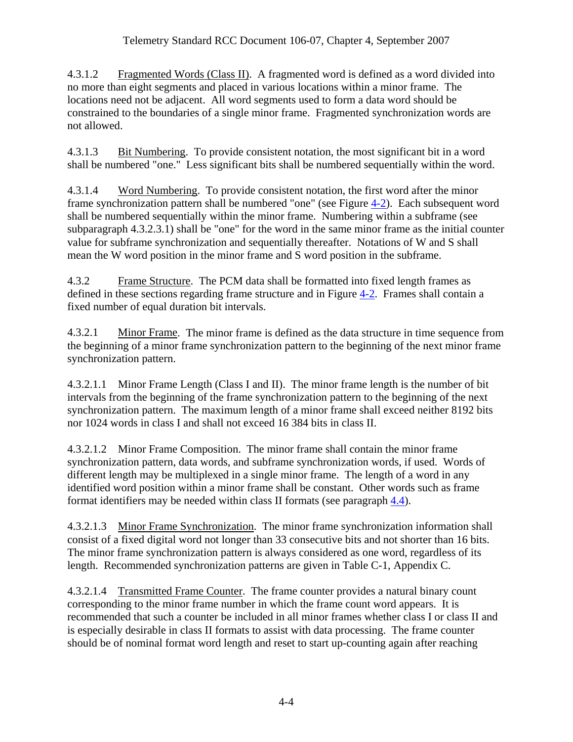<span id="page-5-0"></span>4.3.1.2 Fragmented Words (Class II). A fragmented word is defined as a word divided into no more than eight segments and placed in various locations within a minor frame. The locations need not be adjacent. All word segments used to form a data word should be constrained to the boundaries of a single minor frame. Fragmented synchronization words are not allowed.

4.3.1.3 Bit Numbering. To provide consistent notation, the most significant bit in a word shall be numbered "one." Less significant bits shall be numbered sequentially within the word.

4.3.1.4 Word Numbering. To provide consistent notation, the first word after the minor frame synchronization pattern shall be numbered "one" (see Figure [4-2\)](#page-6-0). Each subsequent word shall be numbered sequentially within the minor frame. Numbering within a subframe (see subparagraph 4.3.2.3.1) shall be "one" for the word in the same minor frame as the initial counter value for subframe synchronization and sequentially thereafter. Notations of W and S shall mean the W word position in the minor frame and S word position in the subframe.

4.3.2 Frame Structure. The PCM data shall be formatted into fixed length frames as defined in these sections regarding frame structure and in Figure [4-2.](#page-6-0) Frames shall contain a fixed number of equal duration bit intervals.

4.3.2.1 Minor Frame. The minor frame is defined as the data structure in time sequence from the beginning of a minor frame synchronization pattern to the beginning of the next minor frame synchronization pattern.

4.3.2.1.1 Minor Frame Length (Class I and II). The minor frame length is the number of bit intervals from the beginning of the frame synchronization pattern to the beginning of the next synchronization pattern. The maximum length of a minor frame shall exceed neither 8192 bits nor 1024 words in class I and shall not exceed 16 384 bits in class II.

4.3.2.1.2 Minor Frame Composition. The minor frame shall contain the minor frame synchronization pattern, data words, and subframe synchronization words, if used. Words of different length may be multiplexed in a single minor frame. The length of a word in any identified word position within a minor frame shall be constant. Other words such as frame format identifiers may be needed within class II formats (see paragraph [4.4](#page-7-0)).

4.3.2.1.3 Minor Frame Synchronization. The minor frame synchronization information shall consist of a fixed digital word not longer than 33 consecutive bits and not shorter than 16 bits. The minor frame synchronization pattern is always considered as one word, regardless of its length. Recommended synchronization patterns are given in Table C-1, Appendix C.

4.3.2.1.4 Transmitted Frame Counter. The frame counter provides a natural binary count corresponding to the minor frame number in which the frame count word appears. It is recommended that such a counter be included in all minor frames whether class I or class II and is especially desirable in class II formats to assist with data processing. The frame counter should be of nominal format word length and reset to start up-counting again after reaching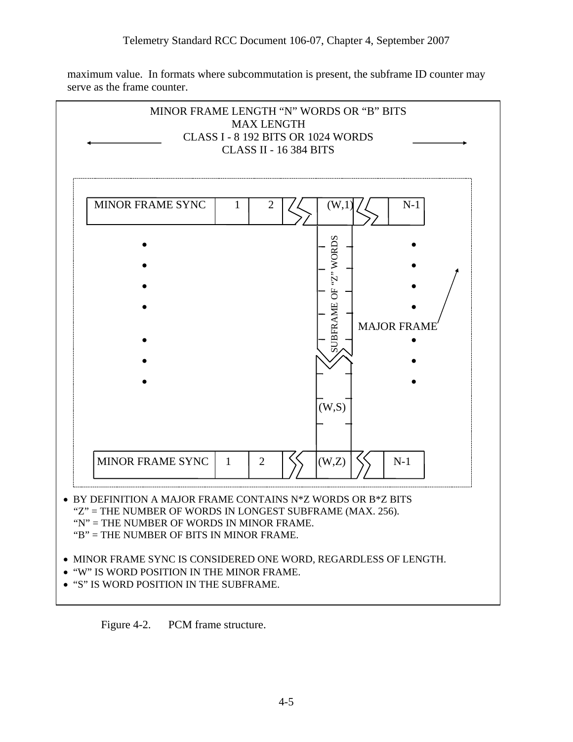<span id="page-6-0"></span>maximum value. In formats where subcommutation is present, the subframe ID counter may serve as the frame counter.



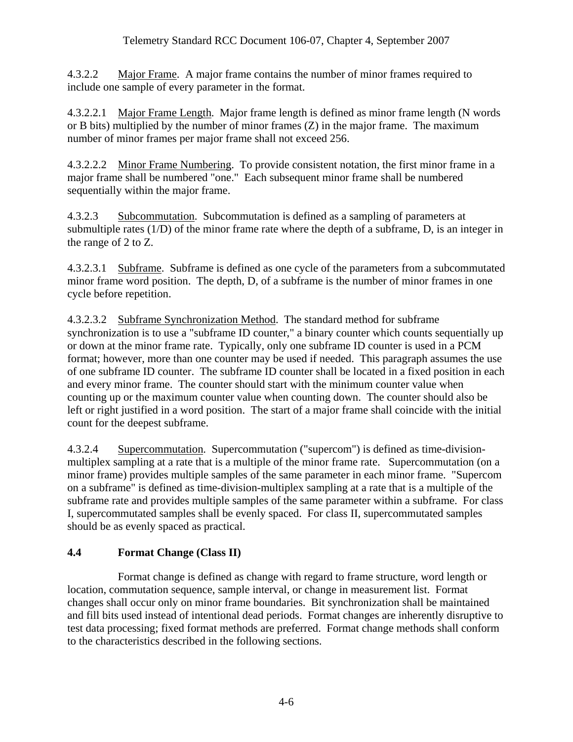<span id="page-7-0"></span>4.3.2.2 Major Frame. A major frame contains the number of minor frames required to include one sample of every parameter in the format.

4.3.2.2.1 Major Frame Length. Major frame length is defined as minor frame length (N words or B bits) multiplied by the number of minor frames (Z) in the major frame. The maximum number of minor frames per major frame shall not exceed 256.

4.3.2.2.2 Minor Frame Numbering. To provide consistent notation, the first minor frame in a major frame shall be numbered "one." Each subsequent minor frame shall be numbered sequentially within the major frame.

4.3.2.3 Subcommutation. Subcommutation is defined as a sampling of parameters at submultiple rates (1/D) of the minor frame rate where the depth of a subframe, D, is an integer in the range of 2 to Z.

4.3.2.3.1 Subframe. Subframe is defined as one cycle of the parameters from a subcommutated minor frame word position. The depth, D, of a subframe is the number of minor frames in one cycle before repetition.

4.3.2.3.2 Subframe Synchronization Method. The standard method for subframe synchronization is to use a "subframe ID counter," a binary counter which counts sequentially up or down at the minor frame rate. Typically, only one subframe ID counter is used in a PCM format; however, more than one counter may be used if needed. This paragraph assumes the use of one subframe ID counter. The subframe ID counter shall be located in a fixed position in each and every minor frame. The counter should start with the minimum counter value when counting up or the maximum counter value when counting down. The counter should also be left or right justified in a word position. The start of a major frame shall coincide with the initial count for the deepest subframe.

4.3.2.4 Supercommutation. Supercommutation ("supercom") is defined as time-divisionmultiplex sampling at a rate that is a multiple of the minor frame rate. Supercommutation (on a minor frame) provides multiple samples of the same parameter in each minor frame. "Supercom on a subframe" is defined as time-division-multiplex sampling at a rate that is a multiple of the subframe rate and provides multiple samples of the same parameter within a subframe. For class I, supercommutated samples shall be evenly spaced. For class II, supercommutated samples should be as evenly spaced as practical.

## **4.4 Format Change (Class II)**

 Format change is defined as change with regard to frame structure, word length or location, commutation sequence, sample interval, or change in measurement list. Format changes shall occur only on minor frame boundaries. Bit synchronization shall be maintained and fill bits used instead of intentional dead periods. Format changes are inherently disruptive to test data processing; fixed format methods are preferred. Format change methods shall conform to the characteristics described in the following sections.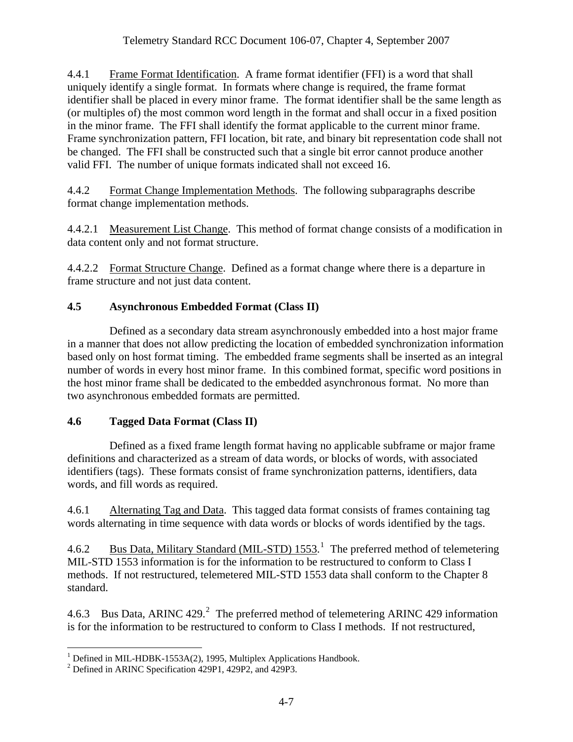<span id="page-8-0"></span>4.4.1 Frame Format Identification. A frame format identifier (FFI) is a word that shall uniquely identify a single format. In formats where change is required, the frame format identifier shall be placed in every minor frame. The format identifier shall be the same length as (or multiples of) the most common word length in the format and shall occur in a fixed position in the minor frame. The FFI shall identify the format applicable to the current minor frame. Frame synchronization pattern, FFI location, bit rate, and binary bit representation code shall not be changed. The FFI shall be constructed such that a single bit error cannot produce another valid FFI. The number of unique formats indicated shall not exceed 16.

4.4.2 Format Change Implementation Methods. The following subparagraphs describe format change implementation methods.

4.4.2.1 Measurement List Change. This method of format change consists of a modification in data content only and not format structure.

4.4.2.2 Format Structure Change. Defined as a format change where there is a departure in frame structure and not just data content.

## **4.5 Asynchronous Embedded Format (Class II)**

 Defined as a secondary data stream asynchronously embedded into a host major frame in a manner that does not allow predicting the location of embedded synchronization information based only on host format timing. The embedded frame segments shall be inserted as an integral number of words in every host minor frame. In this combined format, specific word positions in the host minor frame shall be dedicated to the embedded asynchronous format. No more than two asynchronous embedded formats are permitted.

## **4.6 Tagged Data Format (Class II)**

 Defined as a fixed frame length format having no applicable subframe or major frame definitions and characterized as a stream of data words, or blocks of words, with associated identifiers (tags). These formats consist of frame synchronization patterns, identifiers, data words, and fill words as required.

4.6.1 Alternating Tag and Data. This tagged data format consists of frames containing tag words alternating in time sequence with data words or blocks of words identified by the tags.

4.6.2 Bus Data, Military Standard (MIL-STD) [1](#page-8-0)553.<sup>1</sup> The preferred method of telemetering MIL-STD 1553 information is for the information to be restructured to conform to Class I methods. If not restructured, telemetered MIL-STD 1553 data shall conform to the Chapter 8 standard.

4.6.3 Bus Data, ARINC 4[2](#page-8-0)9.<sup>2</sup> The preferred method of telemetering ARINC 429 information is for the information to be restructured to conform to Class I methods. If not restructured,

<sup>1</sup> <sup>1</sup> Defined in MIL-HDBK-1553A(2), 1995, Multiplex Applications Handbook.

<sup>&</sup>lt;sup>2</sup> Defined in ARINC Specification 429P1, 429P2, and 429P3.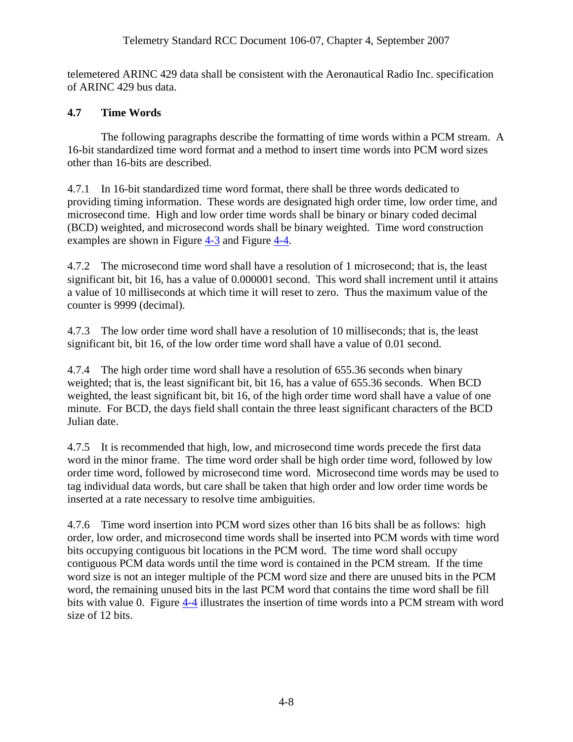<span id="page-9-0"></span>telemetered ARINC 429 data shall be consistent with the Aeronautical Radio Inc. specification of ARINC 429 bus data.

### **4.7 Time Words**

 The following paragraphs describe the formatting of time words within a PCM stream. A 16-bit standardized time word format and a method to insert time words into PCM word sizes other than 16-bits are described.

4.7.1 In 16-bit standardized time word format, there shall be three words dedicated to providing timing information. These words are designated high order time, low order time, and microsecond time. High and low order time words shall be binary or binary coded decimal (BCD) weighted, and microsecond words shall be binary weighted. Time word construction examples are shown in Figure [4-3](#page-10-0) and Figure [4-4.](#page-10-0)

4.7.2 The microsecond time word shall have a resolution of 1 microsecond; that is, the least significant bit, bit 16, has a value of 0.000001 second. This word shall increment until it attains a value of 10 milliseconds at which time it will reset to zero. Thus the maximum value of the counter is 9999 (decimal).

4.7.3 The low order time word shall have a resolution of 10 milliseconds; that is, the least significant bit, bit 16, of the low order time word shall have a value of 0.01 second.

4.7.4 The high order time word shall have a resolution of 655.36 seconds when binary weighted; that is, the least significant bit, bit 16, has a value of 655.36 seconds. When BCD weighted, the least significant bit, bit 16, of the high order time word shall have a value of one minute. For BCD, the days field shall contain the three least significant characters of the BCD Julian date.

4.7.5 It is recommended that high, low, and microsecond time words precede the first data word in the minor frame. The time word order shall be high order time word, followed by low order time word, followed by microsecond time word. Microsecond time words may be used to tag individual data words, but care shall be taken that high order and low order time words be inserted at a rate necessary to resolve time ambiguities.

4.7.6 Time word insertion into PCM word sizes other than 16 bits shall be as follows: high order, low order, and microsecond time words shall be inserted into PCM words with time word bits occupying contiguous bit locations in the PCM word. The time word shall occupy contiguous PCM data words until the time word is contained in the PCM stream. If the time word size is not an integer multiple of the PCM word size and there are unused bits in the PCM word, the remaining unused bits in the last PCM word that contains the time word shall be fill bits with value 0. Figure [4-4](#page-10-0) illustrates the insertion of time words into a PCM stream with word size of 12 bits.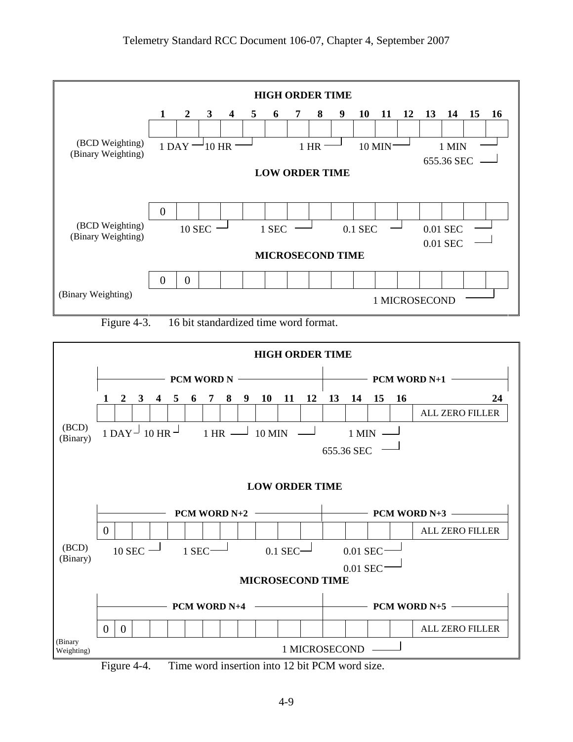<span id="page-10-0"></span>

### Figure 4-3. 16 bit standardized time word format.



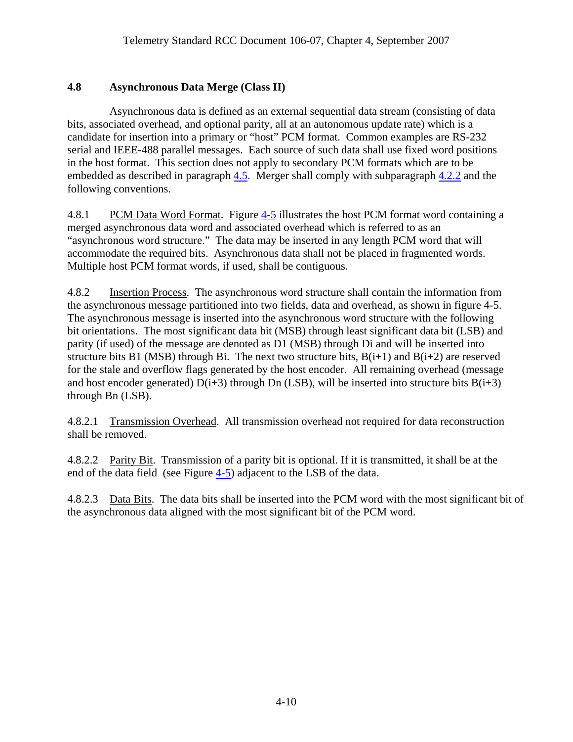## <span id="page-11-0"></span>**4.8 Asynchronous Data Merge (Class II)**

 Asynchronous data is defined as an external sequential data stream (consisting of data bits, associated overhead, and optional parity, all at an autonomous update rate) which is a candidate for insertion into a primary or "host" PCM format. Common examples are RS-232 serial and IEEE-488 parallel messages. Each source of such data shall use fixed word positions in the host format. This section does not apply to secondary PCM formats which are to be embedded as described in paragraph [4.5.](#page-8-0) Merger shall comply with subparagraph [4.2.2](#page-3-0) and the following conventions.

4.8.1 PCM Data Word Format. Figure [4-5](#page-12-0) illustrates the host PCM format word containing a merged asynchronous data word and associated overhead which is referred to as an "asynchronous word structure." The data may be inserted in any length PCM word that will accommodate the required bits. Asynchronous data shall not be placed in fragmented words. Multiple host PCM format words, if used, shall be contiguous.

4.8.2 Insertion Process. The asynchronous word structure shall contain the information from the asynchronous message partitioned into two fields, data and overhead, as shown in figure 4-5. The asynchronous message is inserted into the asynchronous word structure with the following bit orientations. The most significant data bit (MSB) through least significant data bit (LSB) and parity (if used) of the message are denoted as D1 (MSB) through Di and will be inserted into structure bits B1 (MSB) through Bi. The next two structure bits,  $B(i+1)$  and  $B(i+2)$  are reserved for the stale and overflow flags generated by the host encoder. All remaining overhead (message and host encoder generated)  $D(i+3)$  through Dn (LSB), will be inserted into structure bits  $B(i+3)$ through Bn (LSB).

4.8.2.1 Transmission Overhead. All transmission overhead not required for data reconstruction shall be removed.

4.8.2.2 Parity Bit. Transmission of a parity bit is optional. If it is transmitted, it shall be at the end of the data field (see Figure [4-5\)](#page-12-0) adjacent to the LSB of the data.

4.8.2.3 Data Bits. The data bits shall be inserted into the PCM word with the most significant bit of the asynchronous data aligned with the most significant bit of the PCM word.